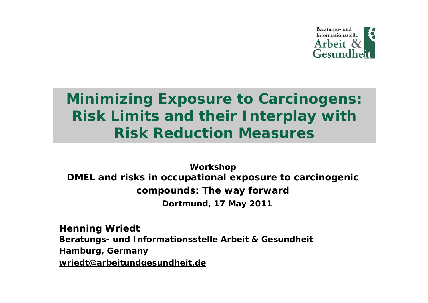

# **Minimizing Exposure to Carcinogens: Risk Limits and their Interplay with Risk Reduction Measures**

**Workshop DMEL and risks in occupational exposure to carcinogenic compounds: The way forward Dortmund, 17 May 2011**

**Henning Wriedt Beratungs- und Informationsstelle Arbeit & Gesundheit Hamburg, Germany [wriedt@arbeitundgesundheit.de](mailto:wriedt@arbeitundgesundheit.de)**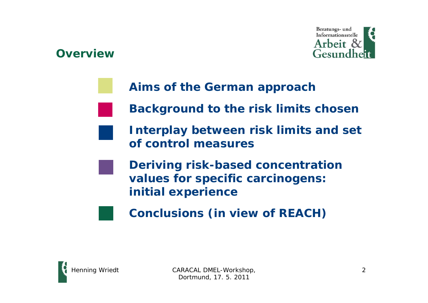### **Overview**



- **Aims of the German approach**
- **Background to the risk limits chosen**
- **Interplay between risk limits and set of control measures** 
	- **Deriving risk-based concentration values for specific carcinogens: initial experience**
		- **Conclusions (in view of REACH)**

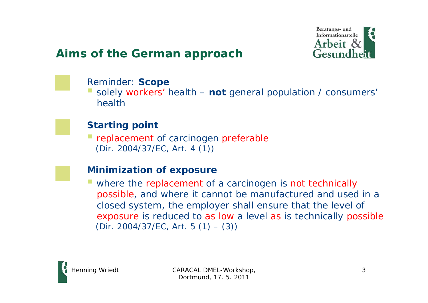

### **Aims of the German approach**

#### Reminder: **Scope**

 solely workers' health – **not** general population / consumers' health

#### **Starting point**

**Periode replacement of carcinogen preferable** (Dir. 2004/37/EC, Art. 4 (1))

#### **Minimization of exposure**

where the replacement of a carcinogen is not technically possible, and where it cannot be manufactured and used in a closed system, the employer shall ensure that the level of exposure is reduced to as low a level as is technically possible (Dir. 2004/37/EC, Art. 5  $(1) - (3)$ )

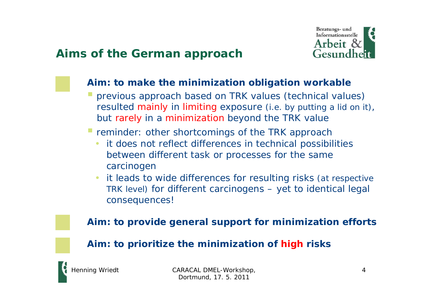

### **Aims of the German approach**

#### **Aim: to make the minimization obligation workable**

- previous approach based on TRK values (technical values) resulted mainly in limiting exposure (i.e. by putting a lid on it), but rarely in a minimization beyond the TRK value
- reminder: other shortcomings of the TRK approach
	- it does not reflect differences in technical possibilities between different task or processes for the same carcinogen
	- • it leads to wide differences for resulting risks (at respective TRK level) for different carcinogens – yet to identical legal consequences!

#### **Aim: to provide general support for minimization efforts**

#### **Aim: to prioritize the minimization of high risks**

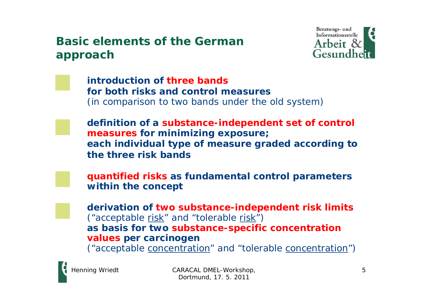### **Basic elements of the German approach**



**introduction of three bandsfor both risks and control measures**(in comparison to two bands under the old system)

**definition of a substance-independent set of control measures for minimizing exposure; each individual type of measure graded according to the three risk bands**

**quantified risks as fundamental control parameters within the concept**

**derivation of two substance-independent risk limits** ("acceptable risk" and "tolerable risk") **as basis for two substance-specific concentration values per carcinogen**  ("acceptable concentration" and "tolerable concentration")

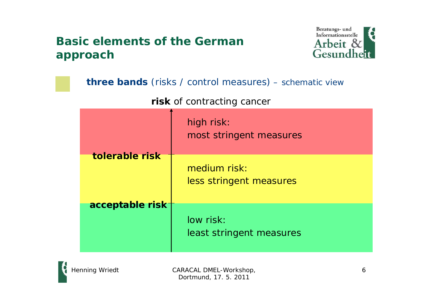### **Basic elements of the German approach**



| <b>three bands</b> (risks / control measures) - schematic view |                                         |  |
|----------------------------------------------------------------|-----------------------------------------|--|
| risk of contracting cancer                                     |                                         |  |
|                                                                | high risk:<br>most stringent measures   |  |
| tolerable risk                                                 | medium risk:<br>less stringent measures |  |
| acceptable risk                                                | low risk:<br>least stringent measures   |  |

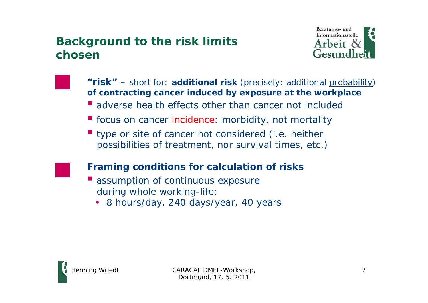### **Background to the risk limits chosen**



**"risk"** – short for: **additional risk** (precisely: additional probability) **of contracting cancer induced by exposure at the workplace**

- **u** adverse health effects other than cancer not included
- **fiecus on cancer incidence: morbidity, not mortality**
- **type or site of cancer not considered (i.e. neither** possibilities of treatment, nor survival times, etc.)

#### **Framing conditions for calculation of risks**

- $\mathcal{C}^{\mathcal{C}}$  assumption of continuous exposure during whole working-life:
	- 8 hours/day, 240 days/year, 40 years

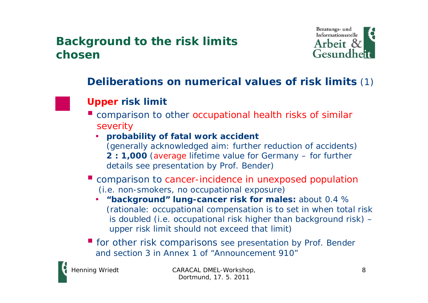### **Background to the risk limits chosen**



### **Deliberations on numerical values of risk limits** (1)



### **Upper risk limit**

- **E** comparison to other occupational health risks of similar severity
	- **probability of fatal work accident** (generally acknowledged aim: further reduction of accidents) **2 : 1,000** (average lifetime value for Germany – for further details see presentation by Prof. Bender)
- **E** comparison to cancer-incidence in unexposed population (i.e. non-smokers, no occupational exposure)
	- **"background" lung-cancer risk for males:** about 0.4 % (rationale: occupational compensation is to set in when total risk is doubled (i.e. occupational risk higher than background risk) – upper risk limit should not exceed that limit)
- **for other risk comparisons see presentation by Prof. Bender** and section 3 in Annex 1 of "Announcement 910"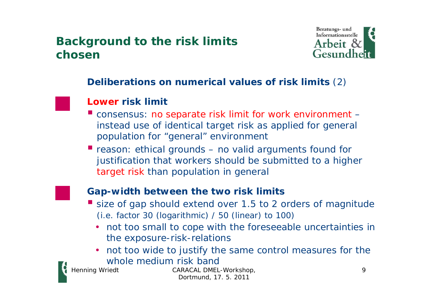### **Background to the risk limits chosen**



#### **Deliberations on numerical values of risk limits** (2)

#### **Lower risk limit**

- P) consensus: no separate risk limit for work environment – instead use of identical target risk as applied for general population for "general" environment
- reason: ethical grounds  $-$  no valid arguments found for justification that workers should be submitted to a higher target risk than population in general



#### **Gap-width between the two risk limits**

- size of gap should extend over 1.5 to 2 orders of magnitude (i.e. factor 30 (logarithmic) / 50 (linear) to 100)
	- not too small to cope with the foreseeable uncertainties in the exposure-risk-relations
	- not too wide to justify the same control measures for the whole medium risk band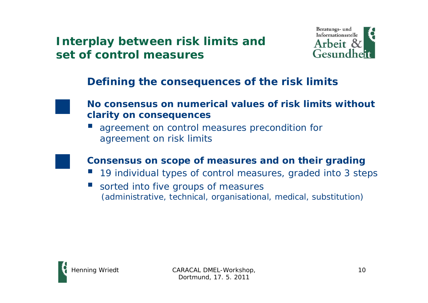

### **Defining the consequences of the risk limits**



#### **No consensus on numerical values of risk limits without clarity on consequences**

p. agreement on control measures precondition for agreement on risk limits

#### **Consensus on scope of measures and on their grading**

- $\mathbb{R}^2$ 19 individual types of control measures, graded into 3 steps
- $\mathbb{R}^2$  sorted into five groups of measures (administrative, technical, organisational, medical, substitution)

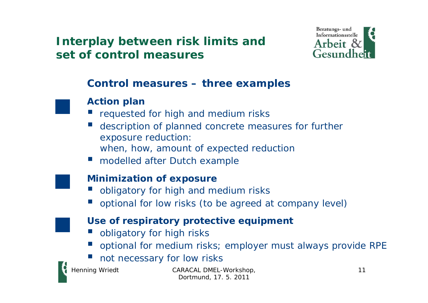

### **Control measures – three examples**



#### **Action plan**

- **P** requested for high and medium risks
- $\mathbb{R}^2$  description of planned concrete measures for further exposure reduction: when, how, amount of expected reduction
- modelled after Dutch example

#### **Minimization of exposure**

- **DE obligatory for high and medium risks**
- **Optional for low risks (to be agreed at company level)**



#### **Use of respiratory protective equipment**

- **D** obligatory for high risks
- p. optional for medium risks; employer must always provide RPE
- e<br>S not necessary for low risks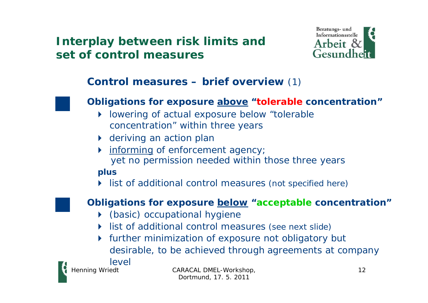

### **Control measures – brief overview** (1)



#### **Obligations for exposure above "tolerable concentration"**

- lowering of actual exposure below "tolerable concentration" within three years
- ▶ deriving an action plan
- **informing of enforcement agency;** yet no permission needed within those three years

#### **plus**

list of additional control measures (not specified here)



#### **Obligations for exposure below "acceptable concentration"**

- (basic) occupational hygiene
- list of additional control measures (see next slide)
- further minimization of exposure not obligatory but desirable, to be achieved through agreements at company

level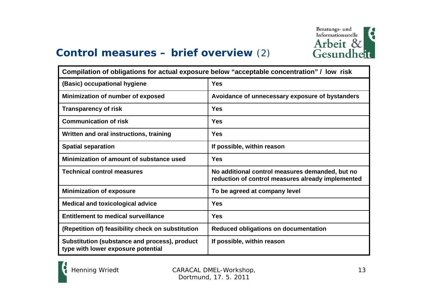

### **Control measures – brief overview** (2)

| Compilation of obligations for actual exposure below "acceptable concentration" / low risk |                                                                                                      |  |
|--------------------------------------------------------------------------------------------|------------------------------------------------------------------------------------------------------|--|
| (Basic) occupational hygiene                                                               | <b>Yes</b>                                                                                           |  |
| Minimization of number of exposed                                                          | Avoidance of unnecessary exposure of bystanders                                                      |  |
| <b>Transparency of risk</b>                                                                | <b>Yes</b>                                                                                           |  |
| <b>Communication of risk</b>                                                               | Yes                                                                                                  |  |
| Written and oral instructions, training                                                    | <b>Yes</b>                                                                                           |  |
| <b>Spatial separation</b>                                                                  | If possible, within reason                                                                           |  |
| Minimization of amount of substance used                                                   | <b>Yes</b>                                                                                           |  |
| <b>Technical control measures</b>                                                          | No additional control measures demanded, but no<br>reduction of control measures already implemented |  |
| <b>Minimization of exposure</b>                                                            | To be agreed at company level                                                                        |  |
| <b>Medical and toxicological advice</b>                                                    | <b>Yes</b>                                                                                           |  |
| <b>Entitlement to medical surveillance</b>                                                 | <b>Yes</b>                                                                                           |  |
| (Repetition of) feasibility check on substitution                                          | Reduced obligations on documentation                                                                 |  |
| Substitution (substance and process), product<br>type with lower exposure potential        | If possible, within reason                                                                           |  |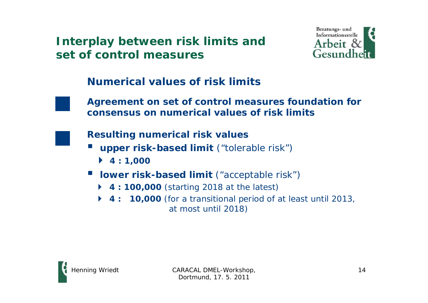

### **Numerical values of risk limits**



**Agreement on set of control measures foundation for consensus on numerical values of risk limits**



**Resulting numerical risk values**

- $\mathbb{R}^2$  **upper risk-based limit** ("tolerable risk")
	- **4 : 1,000**
- $\blacksquare$  **lower risk-based limit** ("acceptable risk")
	- ◆ **4 : 100,000** (starting 2018 at the latest)
	- **4 : 10,000** (for a transitional period of at least until 2013, at most until 2018)

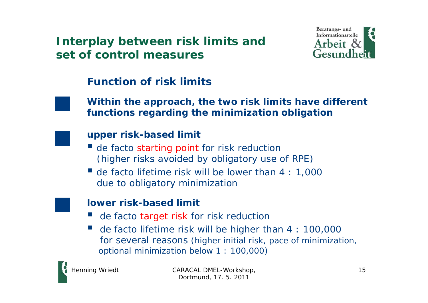

### **Function of risk limits**



#### **Within the approach, the two risk limits have different functions regarding the minimization obligation**



#### **upper risk-based limit**

- **de facto starting point for risk reduction** (higher risks avoided by obligatory use of RPE)
- de facto lifetime risk will be lower than 4 : 1,000 due to obligatory minimization

### **lower risk-based limit**

- $\mathbb{R}^2$ de facto target risk for risk reduction
- $\mathbb{R}^2$  de facto lifetime risk will be higher than 4 : 100,000 for several reasons (higher initial risk, pace of minimization, optional minimization below 1 : 100,000)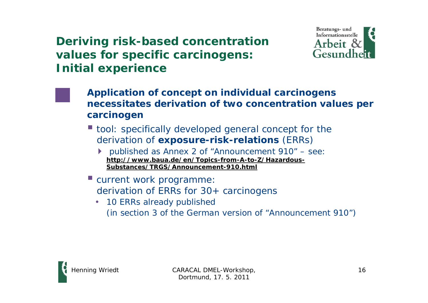

- **Application of concept on individual carcinogens necessitates derivation of two concentration values per carcinogen**
- tool: specifically developed general concept for the derivation of **exposure-risk-relations** (ERRs)
	- ▶ published as Annex 2 of "Announcement 910" see: **[http://www.baua.de/en/Topics-from-A-to-Z/Hazardous-](http://www.baua.de/en/Topics-from-A-to-Z/Hazardous-Substances/TRGS/Announcement-910.html)[Substances/TRGS/Announcement-910.html](http://www.baua.de/en/Topics-from-A-to-Z/Hazardous-Substances/TRGS/Announcement-910.html)**
- current work programme: derivation of ERRs for 30+ carcinogens
	- 10 ERRs already published (in section 3 of the German version of "Announcement 910")

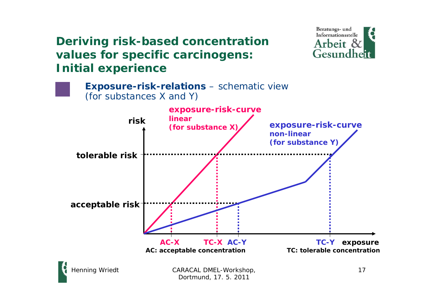



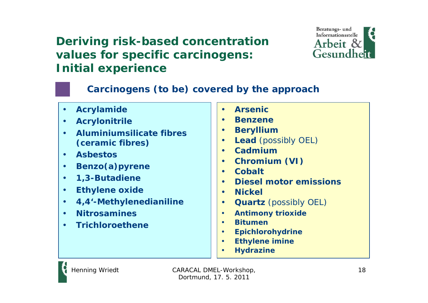

### **Carcinogens (to be) covered by the approach**

• **Acrylamide** • **Acrylonitrile** • **Aluminiumsilicate fibres (ceramic fibres)** • **Asbestos**• **Benzo(a)pyrene** • **1,3-Butadiene** • **Ethylene oxide** • **4,4'-Methylenedianiline** • **Nitrosamines**• **Trichloroethene**• **Arsenic**• **Benzene**• **Beryllium** • **Lead** (possibly OEL) • **Cadmium**• **Chromium (VI)** • **Cobalt** • **Diesel motor emissions**• **Nickel** • **Quartz** (possibly OEL) • **Antimony trioxide** • **Bitumen**• **Epichlorohydrine** • **Ethylene imine** •**Hydrazine**

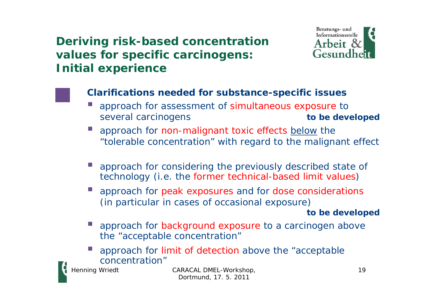

### **Clarifications needed for substance-specific issues**

- approach for assessment of simultaneous exposure to several carcinogens **to be developed**
- F. approach for non-malignant toxic effects below the "tolerable concentration" with regard to the malignant effect
- F. approach for considering the previously described state of technology (i.e. the former technical-based limit values)
- F. approach for peak exposures and for dose considerations (in particular in cases of occasional exposure)

#### **to be developed**

- Ξ approach for background exposure to a carcinogen above the "acceptable concentration"
- r. approach for limit of detection above the "acceptable concentration"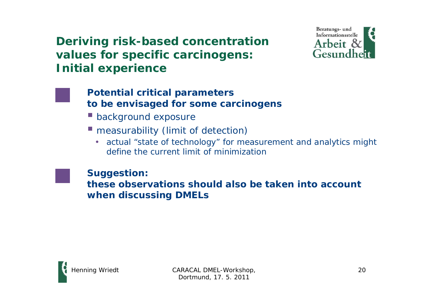

#### **Potential critical parameters to be envisaged for some carcinogens**

- **background exposure**
- **measurability (limit of detection)** 
	- actual "state of technology" for measurement and analytics might define the current limit of minimization

**Suggestion: these observations should also be taken into account when discussing DMELs**